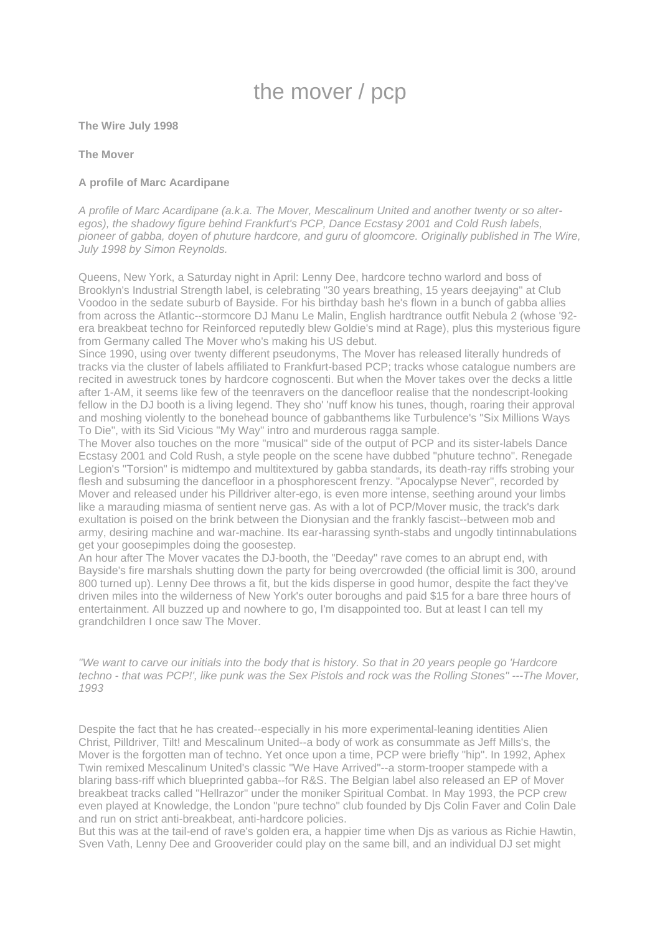# the mover / pcp

**The Wire July 1998**

## **The Mover**

# **A profile of Marc Acardipane**

*A profile of Marc Acardipane (a.k.a. The Mover, Mescalinum United and another twenty or so alteregos), the shadowy figure behind Frankfurt's PCP, Dance Ecstasy 2001 and Cold Rush labels, pioneer of gabba, doyen of phuture hardcore, and guru of gloomcore. Originally published in The Wire, July 1998 by Simon Reynolds.*

Queens, New York, a Saturday night in April: Lenny Dee, hardcore techno warlord and boss of Brooklyn's Industrial Strength label, is celebrating "30 years breathing, 15 years deejaying" at Club Voodoo in the sedate suburb of Bayside. For his birthday bash he's flown in a bunch of gabba allies from across the Atlantic--stormcore DJ Manu Le Malin, English hardtrance outfit Nebula 2 (whose '92 era breakbeat techno for Reinforced reputedly blew Goldie's mind at Rage), plus this mysterious figure from Germany called The Mover who's making his US debut.

Since 1990, using over twenty different pseudonyms, The Mover has released literally hundreds of tracks via the cluster of labels affiliated to Frankfurt-based PCP; tracks whose catalogue numbers are recited in awestruck tones by hardcore cognoscenti. But when the Mover takes over the decks a little after 1-AM, it seems like few of the teenravers on the dancefloor realise that the nondescript-looking fellow in the DJ booth is a living legend. They sho' 'nuff know his tunes, though, roaring their approval and moshing violently to the bonehead bounce of gabbanthems like Turbulence's "Six Millions Ways To Die", with its Sid Vicious "My Way" intro and murderous ragga sample.

The Mover also touches on the more "musical" side of the output of PCP and its sister-labels Dance Ecstasy 2001 and Cold Rush, a style people on the scene have dubbed "phuture techno". Renegade Legion's "Torsion" is midtempo and multitextured by gabba standards, its death-ray riffs strobing your flesh and subsuming the dancefloor in a phosphorescent frenzy. "Apocalypse Never", recorded by Mover and released under his Pilldriver alter-ego, is even more intense, seething around your limbs like a marauding miasma of sentient nerve gas. As with a lot of PCP/Mover music, the track's dark exultation is poised on the brink between the Dionysian and the frankly fascist--between mob and army, desiring machine and war-machine. Its ear-harassing synth-stabs and ungodly tintinnabulations get your goosepimples doing the goosestep.

An hour after The Mover vacates the DJ-booth, the "Deeday" rave comes to an abrupt end, with Bayside's fire marshals shutting down the party for being overcrowded (the official limit is 300, around 800 turned up). Lenny Dee throws a fit, but the kids disperse in good humor, despite the fact they've driven miles into the wilderness of New York's outer boroughs and paid \$15 for a bare three hours of entertainment. All buzzed up and nowhere to go, I'm disappointed too. But at least I can tell my grandchildren I once saw The Mover.

*"We want to carve our initials into the body that is history. So that in 20 years people go 'Hardcore techno - that was PCP!', like punk was the Sex Pistols and rock was the Rolling Stones" ---The Mover, 1993*

Despite the fact that he has created--especially in his more experimental-leaning identities Alien Christ, Pilldriver, Tilt! and Mescalinum United--a body of work as consummate as Jeff Mills's, the Mover is the forgotten man of techno. Yet once upon a time, PCP were briefly "hip". In 1992, Aphex Twin remixed Mescalinum United's classic "We Have Arrived"--a storm-trooper stampede with a blaring bass-riff which blueprinted gabba--for R&S. The Belgian label also released an EP of Mover breakbeat tracks called "Hellrazor" under the moniker Spiritual Combat. In May 1993, the PCP crew even played at Knowledge, the London "pure techno" club founded by Djs Colin Faver and Colin Dale and run on strict anti-breakbeat, anti-hardcore policies.

But this was at the tail-end of rave's golden era, a happier time when Djs as various as Richie Hawtin, Sven Vath, Lenny Dee and Grooverider could play on the same bill, and an individual DJ set might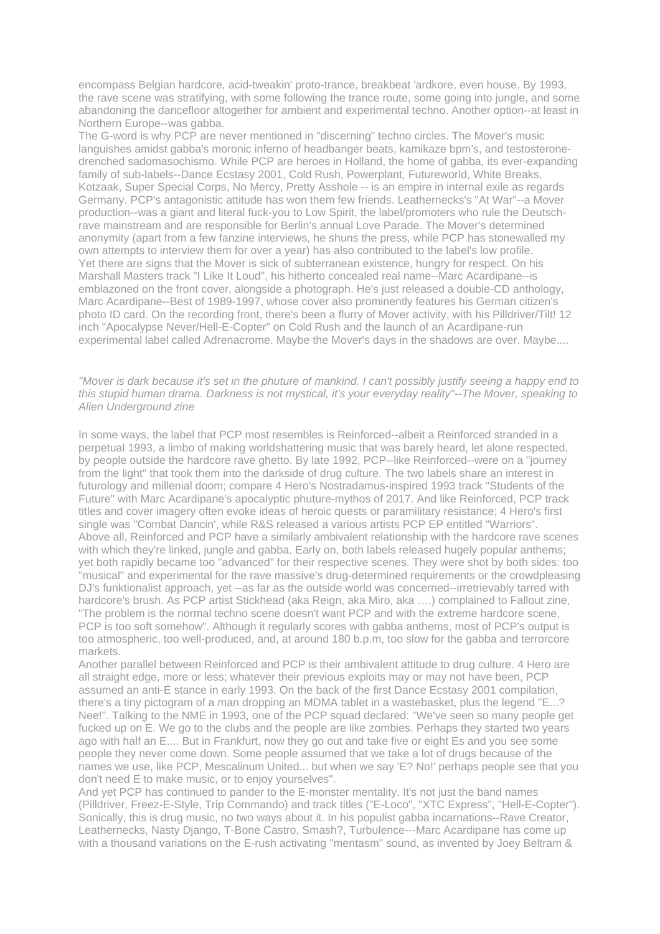encompass Belgian hardcore, acid-tweakin' proto-trance, breakbeat 'ardkore, even house. By 1993, the rave scene was stratifying, with some following the trance route, some going into jungle, and some abandoning the dancefloor altogether for ambient and experimental techno. Another option--at least in Northern Europe--was gabba.

The G-word is why PCP are never mentioned in "discerning" techno circles. The Mover's music languishes amidst gabba's moronic inferno of headbanger beats, kamikaze bpm's, and testosteronedrenched sadomasochismo. While PCP are heroes in Holland, the home of gabba, its ever-expanding family of sub-labels--Dance Ecstasy 2001, Cold Rush, Powerplant, Futureworld, White Breaks, Kotzaak, Super Special Corps, No Mercy, Pretty Asshole -- is an empire in internal exile as regards Germany. PCP's antagonistic attitude has won them few friends. Leathernecks's "At War"--a Mover production--was a giant and literal fuck-you to Low Spirit, the label/promoters who rule the Deutschrave mainstream and are responsible for Berlin's annual Love Parade. The Mover's determined anonymity (apart from a few fanzine interviews, he shuns the press, while PCP has stonewalled my own attempts to interview them for over a year) has also contributed to the label's low profile. Yet there are signs that the Mover is sick of subterranean existence, hungry for respect. On his Marshall Masters track "I Like It Loud", his hitherto concealed real name--Marc Acardipane--is emblazoned on the front cover, alongside a photograph. He's just released a double-CD anthology, Marc Acardipane--Best of 1989-1997, whose cover also prominently features his German citizen's photo ID card. On the recording front, there's been a flurry of Mover activity, with his Pilldriver/Tilt! 12 inch "Apocalypse Never/Hell-E-Copter" on Cold Rush and the launch of an Acardipane-run experimental label called Adrenacrome. Maybe the Mover's days in the shadows are over. Maybe....

#### *"Mover is dark because it's set in the phuture of mankind. I can't possibly justify seeing a happy end to this stupid human drama. Darkness is not mystical, it's your everyday reality"--The Mover, speaking to Alien Underground zine*

In some ways, the label that PCP most resembles is Reinforced--albeit a Reinforced stranded in a perpetual 1993, a limbo of making worldshattering music that was barely heard, let alone respected, by people outside the hardcore rave ghetto. By late 1992, PCP--like Reinforced--were on a "journey from the light" that took them into the darkside of drug culture. The two labels share an interest in futurology and millenial doom; compare 4 Hero's Nostradamus-inspired 1993 track "Students of the Future" with Marc Acardipane's apocalyptic phuture-mythos of 2017. And like Reinforced, PCP track titles and cover imagery often evoke ideas of heroic quests or paramilitary resistance; 4 Hero's first single was "Combat Dancin', while R&S released a various artists PCP EP entitled "Warriors". Above all, Reinforced and PCP have a similarly ambivalent relationship with the hardcore rave scenes with which they're linked, jungle and gabba. Early on, both labels released hugely popular anthems; yet both rapidly became too "advanced" for their respective scenes. They were shot by both sides: too "musical" and experimental for the rave massive's drug-determined requirements or the crowdpleasing DJ's funktionalist approach, yet --as far as the outside world was concerned--irretrievably tarred with hardcore's brush. As PCP artist Stickhead (aka Reign, aka Miro, aka ….) complained to Fallout zine, "The problem is the normal techno scene doesn't want PCP and with the extreme hardcore scene, PCP is too soft somehow". Although it regularly scores with gabba anthems, most of PCP's output is too atmospheric, too well-produced, and, at around 180 b.p.m, too slow for the gabba and terrorcore markets.

Another parallel between Reinforced and PCP is their ambivalent attitude to drug culture. 4 Hero are all straight edge, more or less; whatever their previous exploits may or may not have been, PCP assumed an anti-E stance in early 1993. On the back of the first Dance Ecstasy 2001 compilation, there's a tiny pictogram of a man dropping an MDMA tablet in a wastebasket, plus the legend "E...? Nee!". Talking to the NME in 1993, one of the PCP squad declared: "We've seen so many people get fucked up on E. We go to the clubs and the people are like zombies. Perhaps they started two years ago with half an E.... But in Frankfurt, now they go out and take five or eight Es and you see some people they never come down. Some people assumed that we take a lot of drugs because of the names we use, like PCP, Mescalinum United... but when we say 'E? No!' perhaps people see that you don't need E to make music, or to enjoy yourselves".

And yet PCP has continued to pander to the E-monster mentality. It's not just the band names (Pilldriver, Freez-E-Style, Trip Commando) and track titles ("E-Loco", "XTC Express", "Hell-E-Copter"). Sonically, this is drug music, no two ways about it. In his populist gabba incarnations--Rave Creator, Leathernecks, Nasty Django, T-Bone Castro, Smash?, Turbulence---Marc Acardipane has come up with a thousand variations on the E-rush activating "mentasm" sound, as invented by Joey Beltram &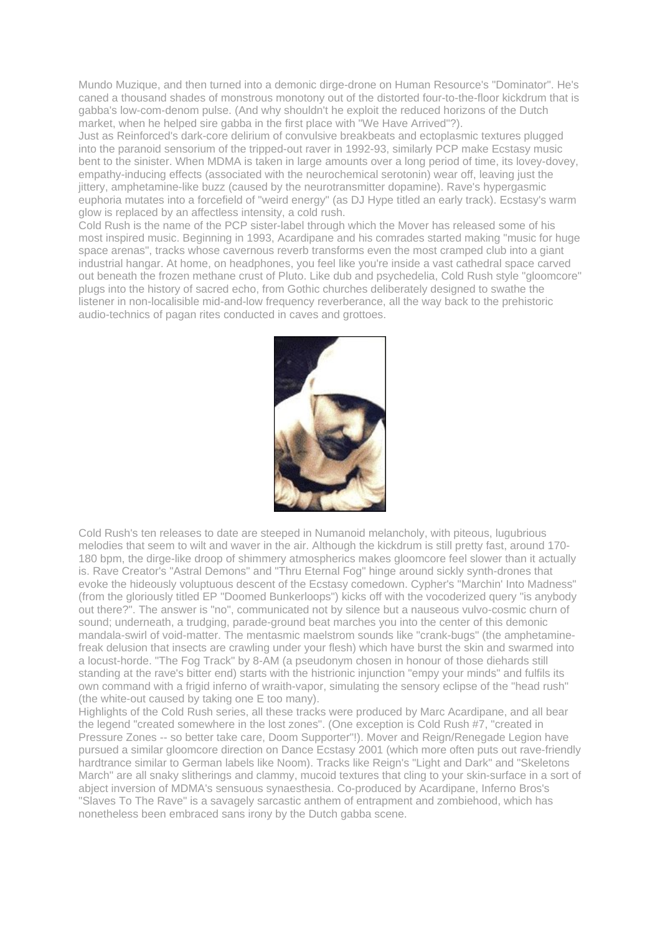Mundo Muzique, and then turned into a demonic dirge-drone on Human Resource's "Dominator". He's caned a thousand shades of monstrous monotony out of the distorted four-to-the-floor kickdrum that is gabba's low-com-denom pulse. (And why shouldn't he exploit the reduced horizons of the Dutch market, when he helped sire gabba in the first place with "We Have Arrived"?).

Just as Reinforced's dark-core delirium of convulsive breakbeats and ectoplasmic textures plugged into the paranoid sensorium of the tripped-out raver in 1992-93, similarly PCP make Ecstasy music bent to the sinister. When MDMA is taken in large amounts over a long period of time, its lovey-dovey, empathy-inducing effects (associated with the neurochemical serotonin) wear off, leaving just the jittery, amphetamine-like buzz (caused by the neurotransmitter dopamine). Rave's hypergasmic euphoria mutates into a forcefield of "weird energy" (as DJ Hype titled an early track). Ecstasy's warm glow is replaced by an affectless intensity, a cold rush.

Cold Rush is the name of the PCP sister-label through which the Mover has released some of his most inspired music. Beginning in 1993, Acardipane and his comrades started making "music for huge space arenas", tracks whose cavernous reverb transforms even the most cramped club into a giant industrial hangar. At home, on headphones, you feel like you're inside a vast cathedral space carved out beneath the frozen methane crust of Pluto. Like dub and psychedelia, Cold Rush style "gloomcore" plugs into the history of sacred echo, from Gothic churches deliberately designed to swathe the listener in non-localisible mid-and-low frequency reverberance, all the way back to the prehistoric audio-technics of pagan rites conducted in caves and grottoes.



Cold Rush's ten releases to date are steeped in Numanoid melancholy, with piteous, lugubrious melodies that seem to wilt and waver in the air. Although the kickdrum is still pretty fast, around 170- 180 bpm, the dirge-like droop of shimmery atmospherics makes gloomcore feel slower than it actually is. Rave Creator's "Astral Demons" and "Thru Eternal Fog" hinge around sickly synth-drones that evoke the hideously voluptuous descent of the Ecstasy comedown. Cypher's "Marchin' Into Madness" (from the gloriously titled EP "Doomed Bunkerloops") kicks off with the vocoderized query "is anybody out there?". The answer is "no", communicated not by silence but a nauseous vulvo-cosmic churn of sound; underneath, a trudging, parade-ground beat marches you into the center of this demonic mandala-swirl of void-matter. The mentasmic maelstrom sounds like "crank-bugs" (the amphetaminefreak delusion that insects are crawling under your flesh) which have burst the skin and swarmed into a locust-horde. "The Fog Track" by 8-AM (a pseudonym chosen in honour of those diehards still standing at the rave's bitter end) starts with the histrionic injunction "empy your minds" and fulfils its own command with a frigid inferno of wraith-vapor, simulating the sensory eclipse of the "head rush" (the white-out caused by taking one E too many).

Highlights of the Cold Rush series, all these tracks were produced by Marc Acardipane, and all bear the legend "created somewhere in the lost zones". (One exception is Cold Rush #7, "created in Pressure Zones -- so better take care, Doom Supporter"!). Mover and Reign/Renegade Legion have pursued a similar gloomcore direction on Dance Ecstasy 2001 (which more often puts out rave-friendly hardtrance similar to German labels like Noom). Tracks like Reign's "Light and Dark" and "Skeletons March" are all snaky slitherings and clammy, mucoid textures that cling to your skin-surface in a sort of abject inversion of MDMA's sensuous synaesthesia. Co-produced by Acardipane, Inferno Bros's "Slaves To The Rave" is a savagely sarcastic anthem of entrapment and zombiehood, which has nonetheless been embraced sans irony by the Dutch gabba scene.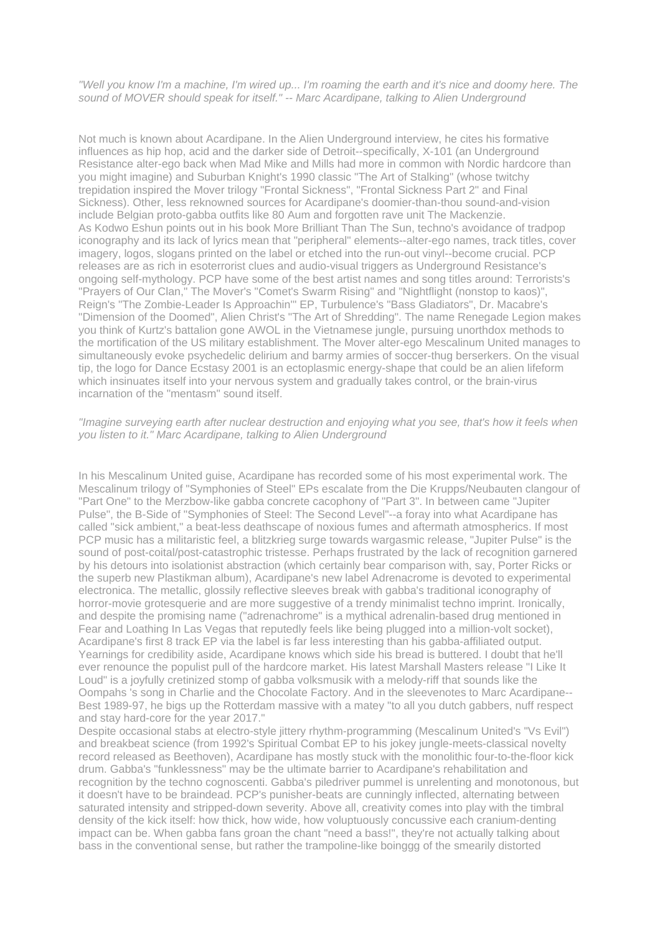*"Well you know I'm a machine, I'm wired up... I'm roaming the earth and it's nice and doomy here. The sound of MOVER should speak for itself." -- Marc Acardipane, talking to Alien Underground*

Not much is known about Acardipane. In the Alien Underground interview, he cites his formative influences as hip hop, acid and the darker side of Detroit--specifically, X-101 (an Underground Resistance alter-ego back when Mad Mike and Mills had more in common with Nordic hardcore than you might imagine) and Suburban Knight's 1990 classic "The Art of Stalking" (whose twitchy trepidation inspired the Mover trilogy "Frontal Sickness", "Frontal Sickness Part 2" and Final Sickness). Other, less reknowned sources for Acardipane's doomier-than-thou sound-and-vision include Belgian proto-gabba outfits like 80 Aum and forgotten rave unit The Mackenzie. As Kodwo Eshun points out in his book More Brilliant Than The Sun, techno's avoidance of tradpop iconography and its lack of lyrics mean that "peripheral" elements--alter-ego names, track titles, cover imagery, logos, slogans printed on the label or etched into the run-out vinyl--become crucial. PCP releases are as rich in esoterrorist clues and audio-visual triggers as Underground Resistance's ongoing self-mythology. PCP have some of the best artist names and song titles around: Terrorists's "Prayers of Our Clan," The Mover's "Comet's Swarm Rising" and "Nightflight (nonstop to kaos)", Reign's "The Zombie-Leader Is Approachin'" EP, Turbulence's "Bass Gladiators", Dr. Macabre's "Dimension of the Doomed", Alien Christ's "The Art of Shredding". The name Renegade Legion makes you think of Kurtz's battalion gone AWOL in the Vietnamese jungle, pursuing unorthdox methods to the mortification of the US military establishment. The Mover alter-ego Mescalinum United manages to simultaneously evoke psychedelic delirium and barmy armies of soccer-thug berserkers. On the visual tip, the logo for Dance Ecstasy 2001 is an ectoplasmic energy-shape that could be an alien lifeform which insinuates itself into your nervous system and gradually takes control, or the brain-virus incarnation of the "mentasm" sound itself.

## *"Imagine surveying earth after nuclear destruction and enjoying what you see, that's how it feels when you listen to it." Marc Acardipane, talking to Alien Underground*

In his Mescalinum United guise, Acardipane has recorded some of his most experimental work. The Mescalinum trilogy of "Symphonies of Steel" EPs escalate from the Die Krupps/Neubauten clangour of "Part One" to the Merzbow-like gabba concrete cacophony of "Part 3". In between came "Jupiter Pulse", the B-Side of "Symphonies of Steel: The Second Level"--a foray into what Acardipane has called "sick ambient," a beat-less deathscape of noxious fumes and aftermath atmospherics. If most PCP music has a militaristic feel, a blitzkrieg surge towards wargasmic release, "Jupiter Pulse" is the sound of post-coital/post-catastrophic tristesse. Perhaps frustrated by the lack of recognition garnered by his detours into isolationist abstraction (which certainly bear comparison with, say, Porter Ricks or the superb new Plastikman album), Acardipane's new label Adrenacrome is devoted to experimental electronica. The metallic, glossily reflective sleeves break with gabba's traditional iconography of horror-movie grotesquerie and are more suggestive of a trendy minimalist techno imprint. Ironically, and despite the promising name ("adrenachrome" is a mythical adrenalin-based drug mentioned in Fear and Loathing In Las Vegas that reputedly feels like being plugged into a million-volt socket), Acardipane's first 8 track EP via the label is far less interesting than his gabba-affiliated output. Yearnings for credibility aside, Acardipane knows which side his bread is buttered. I doubt that he'll ever renounce the populist pull of the hardcore market. His latest Marshall Masters release "I Like It Loud" is a joyfully cretinized stomp of gabba volksmusik with a melody-riff that sounds like the Oompahs 's song in Charlie and the Chocolate Factory. And in the sleevenotes to Marc Acardipane-- Best 1989-97, he bigs up the Rotterdam massive with a matey "to all you dutch gabbers, nuff respect and stay hard-core for the year 2017."

Despite occasional stabs at electro-style jittery rhythm-programming (Mescalinum United's "Vs Evil") and breakbeat science (from 1992's Spiritual Combat EP to his jokey jungle-meets-classical novelty record released as Beethoven), Acardipane has mostly stuck with the monolithic four-to-the-floor kick drum. Gabba's "funklessness" may be the ultimate barrier to Acardipane's rehabilitation and recognition by the techno cognoscenti. Gabba's piledriver pummel is unrelenting and monotonous, but it doesn't have to be braindead. PCP's punisher-beats are cunningly inflected, alternating between saturated intensity and stripped-down severity. Above all, creativity comes into play with the timbral density of the kick itself: how thick, how wide, how voluptuously concussive each cranium-denting impact can be. When gabba fans groan the chant "need a bass!", they're not actually talking about bass in the conventional sense, but rather the trampoline-like boinggg of the smearily distorted